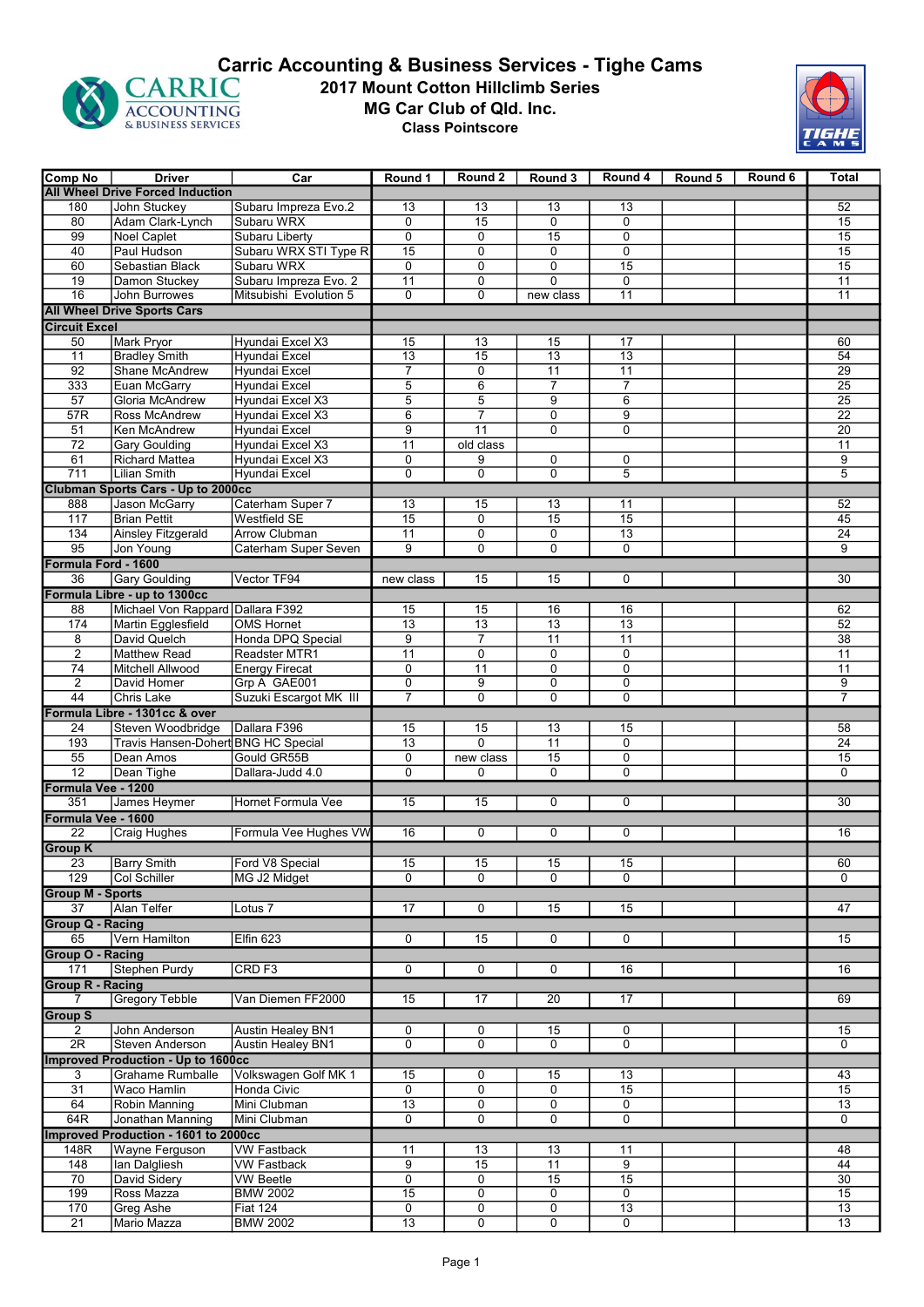

## 2017 Mount Cotton Hillclimb Series MG Car Club of Qld. Inc. Class Pointscore **CARRIC CARRIC 2017 Mount Cotton Hillclimb Series**<br>ACCOUNTING MG Car Club of Qld. Inc.<br> **CARRIC MG Car Club of Qld. Inc.**<br>
Class Pointscore



| Comp No                                                    | <b>Driver</b>                             | Car                      | Round 1         | Round 2                           | Round 3                 | Round 4         | Round 5 | Round 6 | <b>Total</b>    |
|------------------------------------------------------------|-------------------------------------------|--------------------------|-----------------|-----------------------------------|-------------------------|-----------------|---------|---------|-----------------|
|                                                            | <b>All Wheel Drive Forced Induction</b>   |                          |                 |                                   |                         |                 |         |         |                 |
| 180                                                        | John Stuckey                              | Subaru Impreza Evo.2     | 13              | 13                                | 13                      | 13              |         |         | 52              |
| 80                                                         | Adam Clark-Lynch                          | Subaru WRX               | $\mathbf 0$     | $\overline{15}$                   | $\mathbf 0$             | 0               |         |         | $\overline{15}$ |
| 99                                                         | Noel Caplet                               | <b>Subaru Liberty</b>    | 0               | 0                                 | 15                      | 0               |         |         | $\overline{15}$ |
| 40                                                         | Paul Hudson                               | Subaru WRX STI Type R    | 15              | $\mathbf 0$                       | $\mathbf 0$             | 0               |         |         | 15              |
| 60                                                         | Sebastian Black                           | Subaru WRX               | $\mathbf 0$     | $\mathbf 0$                       | $\mathbf 0$             | 15              |         |         | $\overline{15}$ |
| $\overline{19}$                                            | Damon Stuckey                             | Subaru Impreza Evo. 2    | $\overline{11}$ | $\mathbf 0$                       | $\Omega$                | 0               |         |         | $\overline{11}$ |
| 16                                                         | <b>John Burrowes</b>                      | Mitsubishi Evolution 5   | $\mathbf 0$     | $\mathbf 0$                       | new class               | $\overline{11}$ |         |         | $\overline{11}$ |
|                                                            |                                           |                          |                 |                                   |                         |                 |         |         |                 |
| <b>All Wheel Drive Sports Cars</b><br><b>Circuit Excel</b> |                                           |                          |                 |                                   |                         |                 |         |         |                 |
| 50                                                         | <b>Mark Pryor</b>                         | Hyundai Excel X3         | 15              | 13                                | 15                      | 17              |         |         | 60              |
| 11                                                         | <b>Bradley Smith</b>                      | Hyundai Excel            | $\overline{13}$ | 15                                | $\overline{13}$         | 13              |         |         | $\overline{54}$ |
| 92                                                         | <b>Shane McAndrew</b>                     | <b>Hyundai Excel</b>     | $\overline{7}$  | 0                                 | 11                      | 11              |         |         | $\overline{29}$ |
| 333                                                        | Euan McGarry                              | Hyundai Excel            | 5               | 6                                 | 7                       | 7               |         |         | $\overline{25}$ |
|                                                            |                                           |                          |                 |                                   | 9                       |                 |         |         | $\overline{25}$ |
| $\overline{57}$                                            | Gloria McAndrew                           | Hyundai Excel X3         | 5               | 5                                 |                         | $\overline{6}$  |         |         |                 |
| 57R                                                        | Ross McAndrew                             | Hvundai Excel X3         | 6               | $\overline{7}$<br>$\overline{11}$ | $\mathbf 0$             | 9               |         |         | 22              |
| $\overline{51}$                                            | Ken McAndrew                              | Hyundai Excel            | 9               |                                   | $\Omega$                | $\overline{0}$  |         |         | $\overline{20}$ |
| 72                                                         | <b>Gary Goulding</b>                      | Hyundai Excel X3         | 11              | old class                         |                         |                 |         |         | 11              |
| 61                                                         | <b>Richard Mattea</b>                     | Hyundai Excel X3         | 0               | 9                                 | 0                       | 0               |         |         | 9               |
| 711                                                        | <b>Lilian Smith</b>                       | Hyundai Excel            | 0               | $\overline{0}$                    | $\overline{0}$          | $\overline{5}$  |         |         | $\overline{5}$  |
|                                                            | Clubman Sports Cars - Up to 2000cc        |                          |                 |                                   |                         |                 |         |         |                 |
| 888                                                        | <b>Jason McGarry</b>                      | Caterham Super 7         | 13              | 15                                | 13                      | 11              |         |         | 52              |
| 117                                                        | <b>Brian Pettit</b>                       | Westfield SE             | 15              | 0                                 | 15                      | 15              |         |         | 45              |
| 134                                                        | <b>Ainsley Fitzgerald</b>                 | <b>Arrow Clubman</b>     | 11              | 0                                 | 0                       | 13              |         |         | 24              |
| 95                                                         | Jon Young                                 | Caterham Super Seven     | $\overline{9}$  | $\Omega$                          | $\overline{0}$          | 0               |         |         | 9               |
| Formula Ford - 1600                                        |                                           |                          |                 |                                   |                         |                 |         |         |                 |
| 36                                                         | Gary Goulding                             | Vector TF94              | new class       | 15                                | 15                      | 0               |         |         | $\overline{30}$ |
|                                                            | Formula Libre - up to 1300cc              |                          |                 |                                   |                         |                 |         |         |                 |
| 88                                                         | Michael Von Rappard Dallara F392          |                          | 15              | 15                                | 16                      | 16              |         |         | 62              |
| 174                                                        | Martin Egglesfield                        | OMS Hornet               | 13              | 13                                | 13                      | 13              |         |         | 52              |
| 8                                                          | David Quelch                              | Honda DPQ Special        | 9               | $\overline{7}$                    | 11                      | $\overline{11}$ |         |         | 38              |
| 2                                                          | <b>Matthew Read</b>                       | Readster MTR1            | 11              | $\mathbf 0$                       | 0                       | 0               |         |         | $\overline{11}$ |
| 74                                                         | Mitchell Allwood                          | <b>Energy Firecat</b>    | $\mathbf 0$     | 11                                | $\overline{0}$          | $\overline{0}$  |         |         | 11              |
| $\overline{2}$                                             | David Homer                               | Grp A GAE001             | 0               | 9                                 | 0                       | 0               |         |         | 9               |
| 44                                                         | <b>Chris Lake</b>                         | Suzuki Escargot MK III   | $\overline{7}$  | $\overline{0}$                    | $\Omega$                | 0               |         |         | $\overline{7}$  |
|                                                            | Formula Libre - 1301cc & over             |                          |                 |                                   |                         |                 |         |         |                 |
| 24                                                         | Steven Woodbridge                         | Dallara F396             | 15              | 15                                | 13                      | 15              |         |         | 58              |
| 193                                                        | Travis Hansen-Dohert BNG HC Special       |                          | $\overline{13}$ | $\overline{0}$                    | $\overline{11}$         | 0               |         |         | 24              |
| $\overline{55}$                                            | Dean Amos                                 | Gould GR55B              | 0               | new class                         | 15                      | 0               |         |         | $\overline{15}$ |
| 12                                                         | Dean Tighe                                | Dallara-Judd 4.0         | $\mathbf 0$     | $\Omega$                          | $\Omega$                | 0               |         |         | $\Omega$        |
|                                                            |                                           |                          |                 |                                   |                         |                 |         |         |                 |
| Formula Vee - 1200                                         |                                           |                          |                 |                                   |                         |                 |         |         |                 |
| 351                                                        | James Heymer                              | Hornet Formula Vee       | 15              | 15                                | 0                       | 0               |         |         | 30              |
| Formula Vee - 1600                                         |                                           |                          |                 |                                   |                         |                 |         |         |                 |
| 22                                                         | <b>Craig Hughes</b>                       | Formula Vee Hughes VW    | 16              | 0                                 | $\mathbf 0$             | 0               |         |         | 16              |
| <b>Group K</b>                                             |                                           |                          |                 |                                   |                         |                 |         |         |                 |
| 23                                                         | <b>Barry Smith</b>                        | Ford V8 Special          | 15              | 15                                | 15                      | 15              |         |         | 60              |
| 129                                                        | Col Schiller                              | MG J2 Midget             | $\overline{0}$  | $\mathbf 0$                       | $\mathbf 0$             | 0               |         |         | $\mathbf 0$     |
| <b>Group M - Sports</b>                                    |                                           |                          |                 |                                   |                         |                 |         |         |                 |
| 37                                                         | <b>Alan Telfer</b>                        | Lotus 7                  | $\overline{17}$ | 0                                 | 15                      | 15              |         |         | 47              |
| <b>Group Q - Racing</b>                                    |                                           |                          |                 |                                   |                         |                 |         |         |                 |
| 65                                                         | Vern Hamilton                             | Elfin <sub>623</sub>     | $\overline{0}$  | 15                                | $\overline{0}$          | $\overline{0}$  |         |         | 15              |
| <b>Group O - Racing</b>                                    |                                           |                          |                 |                                   |                         |                 |         |         |                 |
| 171                                                        | <b>Stephen Purdy</b>                      | CRD <sub>F3</sub>        | $\mathbf 0$     | 0                                 | $\mathbf 0$             | 16              |         |         | 16              |
| <b>Group R - Racing</b>                                    |                                           |                          |                 |                                   |                         |                 |         |         |                 |
| 7                                                          | <b>Gregory Tebble</b>                     | Van Diemen FF2000        | 15              | 17                                | 20                      | 17              |         |         | 69              |
| <b>Group S</b>                                             |                                           |                          |                 |                                   |                         |                 |         |         |                 |
| 2                                                          | John Anderson                             | <b>Austin Healey BN1</b> | 0               | 0                                 | 15                      | 0               |         |         | 15              |
| $\overline{2R}$                                            | Steven Anderson                           | <b>Austin Healey BN1</b> | $\mathbf 0$     | $\mathbf 0$                       | 0                       | 0               |         |         | $\Omega$        |
|                                                            | <b>Improved Production - Up to 1600cc</b> |                          |                 |                                   |                         |                 |         |         |                 |
| 3                                                          | <b>Grahame Rumballe</b>                   | Volkswagen Golf MK 1     | 15              | 0                                 | 15                      | 13              |         |         | 43              |
| $\overline{31}$                                            | Waco Hamlin                               | Honda Civic              | $\mathbf 0$     | $\overline{0}$                    | $\mathbf 0$             | 15              |         |         | $\overline{15}$ |
| 64                                                         | Robin Manning                             | Mini Clubman             | $\overline{13}$ | 0                                 | 0                       | 0               |         |         | $\overline{13}$ |
| 64R                                                        | Jonathan Manning                          | Mini Clubman             | $\overline{0}$  | $\overline{0}$                    | $\overline{0}$          | 0               |         |         | $\Omega$        |
|                                                            | Improved Production - 1601 to 2000cc      |                          |                 |                                   |                         |                 |         |         |                 |
|                                                            |                                           |                          |                 |                                   |                         |                 |         |         |                 |
| 148R                                                       | Wayne Ferguson                            | <b>VW Fastback</b>       | 11              | 13                                | 13                      | 11              |         |         | 48              |
| 148                                                        | lan Dalgliesh                             | <b>VW Fastback</b>       | $\overline{9}$  | 15                                | $\overline{11}$         | $\overline{9}$  |         |         | 44              |
| 70                                                         | David Sidery                              | <b>VW Beetle</b>         | 0               | 0                                 | 15                      | 15              |         |         | $\overline{30}$ |
| 199                                                        | Ross Mazza                                | <b>BMW 2002</b>          | $\overline{15}$ | 0                                 | 0                       | 0               |         |         | 15              |
| 170                                                        | Greg Ashe                                 | <b>Fiat 124</b>          | 0               | $\overline{\mathbf{0}}$           | $\overline{\mathbf{0}}$ | 13              |         |         | 13              |
| $\overline{21}$                                            | Mario Mazza                               | <b>BMW 2002</b>          | 13              | 0                                 | 0                       | 0               |         |         | $\overline{13}$ |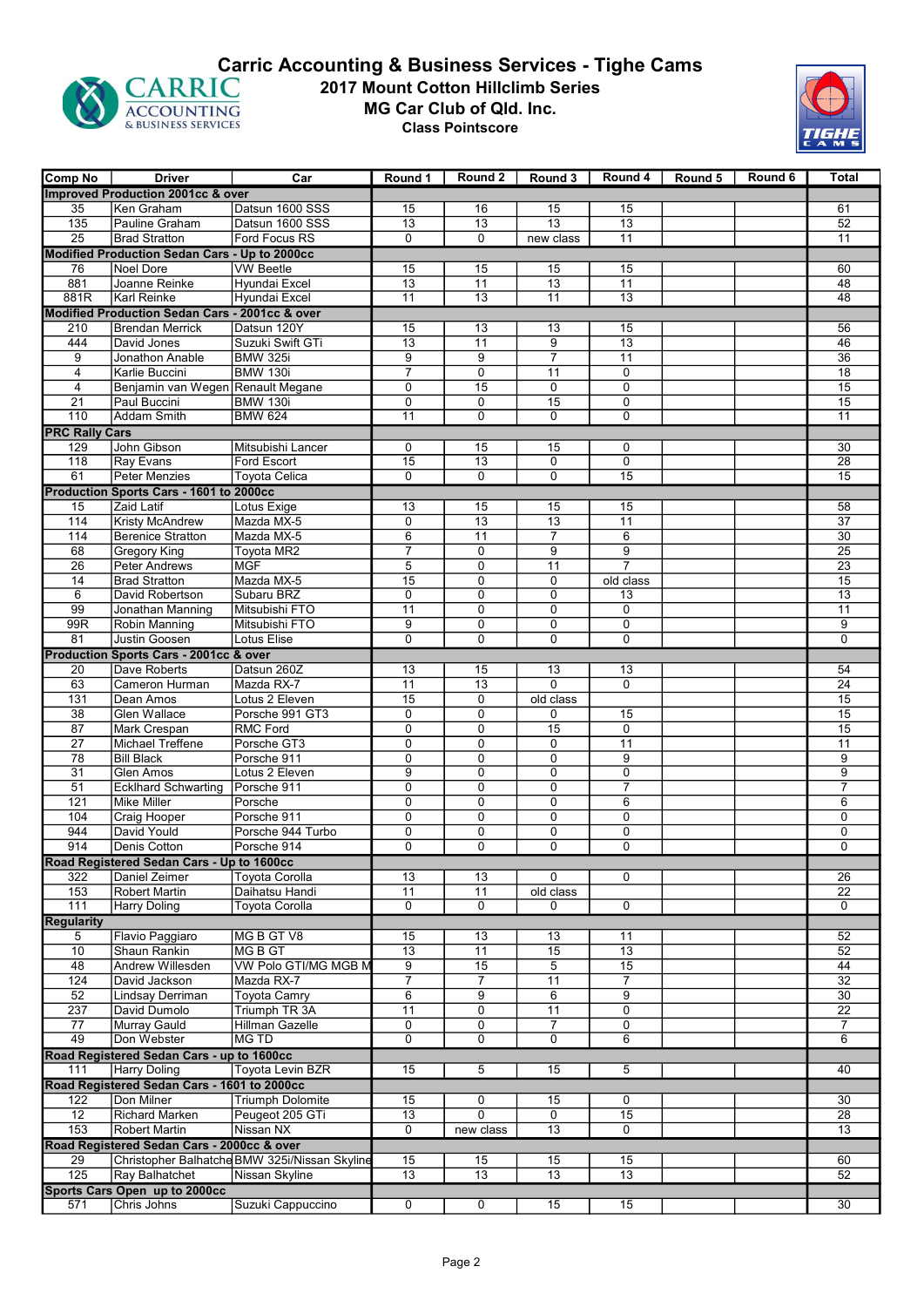

## 2017 Mount Cotton Hillclimb Series MG Car Club of Qld. Inc. Class Pointscore **CARRIC 2017 Mount Cotton Hillclimb Series**<br>ACCOUNTING 4CCOUNTING **CARRIC ACCOUNTING**<br> **CARRIC MG Car Club of Qld. Inc.**<br>
Class Pointscore



| <b>Comp No</b>        | <b>Driver</b>                                  | Car                                           | Round 1         | Round 2         | Round 3         |                 | Round 4 Round 5 | Round 6 | <b>Total</b>    |
|-----------------------|------------------------------------------------|-----------------------------------------------|-----------------|-----------------|-----------------|-----------------|-----------------|---------|-----------------|
|                       | Improved Production 2001cc & over              |                                               |                 |                 |                 |                 |                 |         |                 |
| 35                    | Ken Graham                                     | Datsun 1600 SSS                               | 15              | 16              | 15              | 15              |                 |         | 61              |
| 135                   | Pauline Graham                                 | Datsun 1600 SSS                               | 13              | 13              | $\overline{13}$ | $\overline{13}$ |                 |         | 52              |
| $\overline{25}$       | <b>Brad Stratton</b>                           | Ford Focus RS                                 | $\mathbf{0}$    | $\Omega$        | new class       | $\overline{11}$ |                 |         | 11              |
|                       | Modified Production Sedan Cars - Up to 2000cc  |                                               |                 |                 |                 |                 |                 |         |                 |
| 76                    | Noel Dore                                      | <b>VW Beetle</b>                              | 15              | 15              | 15              | 15              |                 |         | 60              |
| 881                   | Joanne Reinke                                  | Hyundai Excel                                 | $\overline{13}$ | 11              | $\overline{13}$ | 11              |                 |         | 48              |
| 881R                  | Karl Reinke                                    | Hyundai Excel                                 | 11              | 13              | 11              | $\overline{13}$ |                 |         | 48              |
|                       | Modified Production Sedan Cars - 2001cc & over |                                               |                 |                 |                 |                 |                 |         |                 |
| 210                   | <b>Brendan Merrick</b>                         | Datsun 120Y                                   | 15              | 13              | 13              | 15              |                 |         | 56              |
| 444                   | David Jones                                    | Suzuki Swift GTi                              | $\overline{13}$ | 11              | 9               | $\overline{13}$ |                 |         | 46              |
| 9                     | Jonathon Anable                                | <b>BMW 325i</b>                               | 9               | 9               | $\overline{7}$  | 11              |                 |         | $\overline{36}$ |
| $\overline{4}$        | Karlie Buccini                                 | <b>BMW 130i</b>                               | $\overline{7}$  | $\overline{0}$  | 11              | 0               |                 |         | $\overline{18}$ |
| 4                     | Benjamin van Wegen Renault Megane              |                                               | $\mathbf 0$     | 15              | 0               | $\mathbf 0$     |                 |         | 15              |
| $\overline{21}$       | Paul Buccini                                   | <b>BMW 130i</b>                               | $\mathbf 0$     | $\Omega$        | $\overline{15}$ | 0               |                 |         | 15              |
| 110                   | Addam Smith                                    | <b>BMW 624</b>                                | 11              | $\Omega$        | $\Omega$        | 0               |                 |         | $\overline{11}$ |
| <b>PRC Rally Cars</b> |                                                |                                               |                 |                 |                 |                 |                 |         |                 |
| 129                   | John Gibson                                    | Mitsubishi Lancer                             | $\mathbf 0$     | 15              | 15              | 0               |                 |         | 30              |
| 118                   | Ray Evans                                      | <b>Ford Escort</b>                            | 15              | 13              | 0               | 0               |                 |         | 28              |
| 61                    | Peter Menzies                                  | Toyota Celica                                 | $\Omega$        | $\Omega$        | $\Omega$        | 15              |                 |         | 15              |
|                       | Production Sports Cars - 1601 to 2000cc        |                                               |                 |                 |                 |                 |                 |         |                 |
| 15                    | Zaid Latif                                     | Lotus Exige                                   | 13              | 15              | 15              | 15              |                 |         | 58              |
| 114                   | <b>Kristy McAndrew</b>                         | Mazda MX-5                                    | $\mathbf 0$     | 13              | 13              | 11              |                 |         | $\overline{37}$ |
| 114                   | <b>Berenice Stratton</b>                       | Mazda MX-5                                    | 6               | 11              | $\overline{7}$  | 6               |                 |         | 30              |
| 68                    | Gregory King                                   | Toyota MR2                                    | $\overline{7}$  | $\Omega$        | $\overline{9}$  | $\overline{9}$  |                 |         | $\overline{25}$ |
| 26                    | Peter Andrews                                  | <b>MGF</b>                                    | 5               | 0               | $\overline{11}$ | $\overline{7}$  |                 |         | 23              |
| 14                    | <b>Brad Stratton</b>                           | Mazda MX-5                                    | 15              | 0               | 0               | old class       |                 |         | 15              |
| 6                     | David Robertson                                | Subaru BRZ                                    | $\mathbf 0$     | $\Omega$        | $\mathbf 0$     | 13              |                 |         | $\overline{13}$ |
| $\overline{99}$       | Jonathan Manning                               | Mitsubishi FTO                                | $\overline{11}$ | $\mathbf 0$     | $\mathbf 0$     | 0               |                 |         | 11              |
| 99R                   | Robin Manning                                  | Mitsubishi FTO                                | 9               | $\mathbf 0$     | $\mathbf 0$     | $\overline{0}$  |                 |         | $\overline{9}$  |
| 81                    | Justin Goosen                                  | Lotus Elise                                   | $\mathbf 0$     | $\Omega$        | $\Omega$        | 0               |                 |         | $\Omega$        |
|                       | Production Sports Cars - 2001cc & over         |                                               |                 |                 |                 |                 |                 |         |                 |
| 20                    | Dave Roberts                                   | Datsun 260Z                                   | 13              | 15              | 13              | 13              |                 |         | 54              |
| 63                    | Cameron Hurman                                 | Mazda RX-7                                    | 11              | 13              | $\Omega$        | 0               |                 |         | 24              |
| 131                   | Dean Amos                                      | Lotus 2 Eleven                                | $\overline{15}$ | $\Omega$        | old class       |                 |                 |         | 15              |
| $\overline{38}$       | <b>Glen Wallace</b>                            | Porsche 991 GT3                               | $\mathbf 0$     | $\mathbf 0$     | 0               | 15              |                 |         | 15              |
| 87                    | Mark Crespan                                   | <b>RMC Ford</b>                               | $\overline{0}$  | $\mathbf 0$     | 15              | 0               |                 |         | 15              |
| 27                    | Michael Treffene                               | Porsche GT3                                   | $\mathbf 0$     | $\mathbf 0$     | 0               | 11              |                 |         | 11              |
| 78                    | <b>Bill Black</b>                              | Porsche 911                                   | $\mathbf 0$     | $\mathbf 0$     | $\mathbf 0$     | 9               |                 |         | 9               |
| 31                    | Glen Amos                                      | Lotus 2 Eleven                                | 9               | $\Omega$        | $\mathbf{0}$    | 0               |                 |         | 9               |
| 51                    | <b>Ecklhard Schwarting</b>                     | Porsche 911                                   | $\mathbf 0$     | $\mathbf 0$     | $\mathbf 0$     | $\overline{7}$  |                 |         | $\overline{7}$  |
| 121                   | Mike Miller                                    | Porsche                                       | $\mathbf 0$     | $\Omega$        | $\mathbf 0$     | 6               |                 |         | 6               |
| 104                   | Craig Hooper                                   | Porsche 911                                   | $\mathbf 0$     | $\mathbf 0$     | $\mathbf 0$     | 0               |                 |         | 0               |
| 944                   | David Yould                                    | Porsche 944 Turbo                             | 0               | 0               | $\mathbf 0$     | 0               |                 |         | 0               |
| 914                   | Denis Cotton                                   | Porsche 914                                   | $\Omega$        | $\Omega$        | $\Omega$        | 0               |                 |         | $\mathbf{0}$    |
|                       | Road Registered Sedan Cars - Up to 1600cc      |                                               |                 |                 |                 |                 |                 |         |                 |
| 322                   | Daniel Zeimer                                  | <b>Toyota Corolla</b>                         | $\overline{13}$ | 13              | 0               | 0               |                 |         | 26              |
| 153                   | <b>Robert Martin</b>                           | Daihatsu Handi                                | 11              | 11              | old class       |                 |                 |         | $\overline{22}$ |
| 111                   | Harry Doling                                   | <b>Toyota Corolla</b>                         | $\overline{0}$  | 0               | 0               | 0               |                 |         | $\Omega$        |
| <b>Regularity</b>     |                                                |                                               |                 |                 |                 |                 |                 |         |                 |
| 5                     | Flavio Paggiaro                                | MG B GT V8                                    | 15              | 13              | 13              | 11              |                 |         | 52              |
| 10                    | Shaun Rankin                                   | MG B GT                                       | $\overline{13}$ | $\overline{11}$ | $\overline{15}$ | $\overline{13}$ |                 |         | $\overline{52}$ |
| 48                    | Andrew Willesden                               | VW Polo GTI/MG MGB N                          | 9               | 15              | $\overline{5}$  | 15              |                 |         | 44              |
| 124                   | David Jackson                                  | Mazda RX-7                                    | $\overline{7}$  | $\overline{7}$  | 11              | $\overline{7}$  |                 |         | 32              |
| 52                    | Lindsay Derriman                               | <b>Toyota Camry</b>                           | 6               | 9               | 6               | 9               |                 |         | 30              |
| 237                   | David Dumolo                                   | Triumph TR 3A                                 | $\overline{11}$ | 0               | 11              | 0               |                 |         | $\overline{22}$ |
| 77                    | Murray Gauld                                   | Hillman Gazelle                               | $\mathbf 0$     | $\mathbf 0$     | $\overline{7}$  | 0               |                 |         | $\overline{7}$  |
| 49                    | Don Webster                                    | <b>MG TD</b>                                  | $\mathbf 0$     | $\mathbf 0$     | $\mathbf 0$     | 6               |                 |         | 6               |
|                       | Road Registered Sedan Cars - up to 1600cc      |                                               |                 |                 |                 |                 |                 |         |                 |
| 111                   | Harry Doling                                   | Toyota Levin BZR                              | 15              | 5               | 15              | 5               |                 |         | 40              |
|                       | Road Registered Sedan Cars - 1601 to 2000cc    |                                               |                 |                 |                 |                 |                 |         |                 |
| 122                   | Don Milner                                     | <b>Triumph Dolomite</b>                       | 15              | 0               | 15              | 0               |                 |         | 30              |
| 12                    | Richard Marken                                 | Peugeot 205 GTi                               | 13              | 0               | 0               | 15              |                 |         | 28              |
| 153                   | Robert Martin                                  | Nissan NX                                     | $\mathbf 0$     | new class       | 13              | 0               |                 |         | 13              |
|                       | Road Registered Sedan Cars - 2000cc & over     |                                               |                 |                 |                 |                 |                 |         |                 |
| 29                    |                                                | Christopher Balhatche BMW 325i/Nissan Skyline | 15              | 15              | 15              | 15              |                 |         | 60              |
| 125                   | Ray Balhatchet                                 | Nissan Skyline                                | $\overline{13}$ | $\overline{13}$ | $\overline{13}$ | 13              |                 |         | 52              |
|                       | Sports Cars Open up to 2000cc                  |                                               |                 |                 |                 |                 |                 |         |                 |
| 571                   | Chris Johns                                    | Suzuki Cappuccino                             | $\mathbf 0$     | 0               | 15              | 15              |                 |         | 30              |